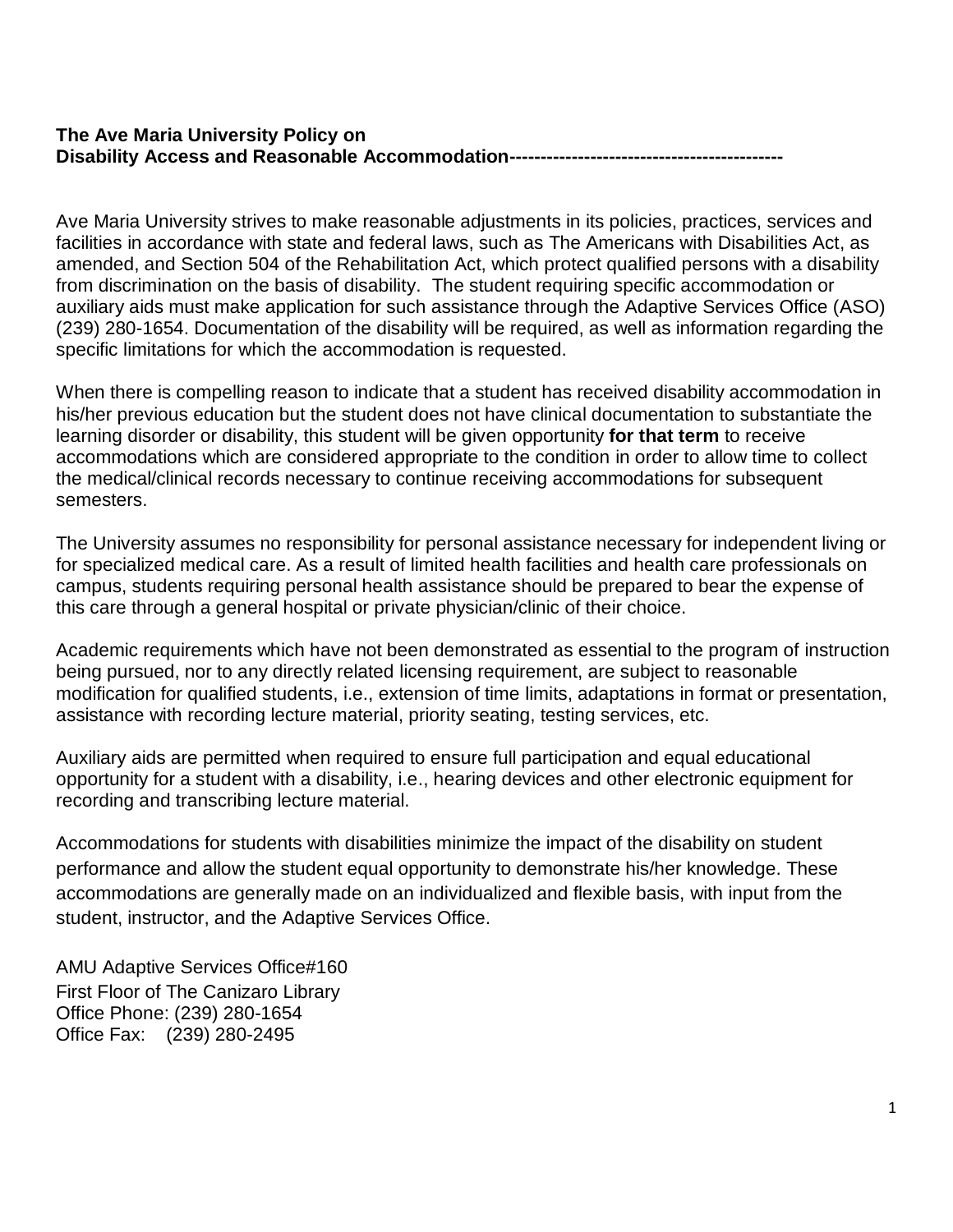### **The Ave Maria University Policy on Disability Access and Reasonable Accommodation--------------------------------------------**

Ave Maria University strives to make reasonable adjustments in its policies, practices, services and facilities in accordance with state and federal laws, such as The Americans with Disabilities Act, as amended, and Section 504 of the Rehabilitation Act, which protect qualified persons with a disability from discrimination on the basis of disability. The student requiring specific accommodation or auxiliary aids must make application for such assistance through the Adaptive Services Office (ASO) (239) 280-1654. Documentation of the disability will be required, as well as information regarding the specific limitations for which the accommodation is requested.

When there is compelling reason to indicate that a student has received disability accommodation in his/her previous education but the student does not have clinical documentation to substantiate the learning disorder or disability, this student will be given opportunity **for that term** to receive accommodations which are considered appropriate to the condition in order to allow time to collect the medical/clinical records necessary to continue receiving accommodations for subsequent semesters.

The University assumes no responsibility for personal assistance necessary for independent living or for specialized medical care. As a result of limited health facilities and health care professionals on campus, students requiring personal health assistance should be prepared to bear the expense of this care through a general hospital or private physician/clinic of their choice.

Academic requirements which have not been demonstrated as essential to the program of instruction being pursued, nor to any directly related licensing requirement, are subject to reasonable modification for qualified students, i.e., extension of time limits, adaptations in format or presentation, assistance with recording lecture material, priority seating, testing services, etc.

Auxiliary aids are permitted when required to ensure full participation and equal educational opportunity for a student with a disability, i.e., hearing devices and other electronic equipment for recording and transcribing lecture material.

Accommodations for students with disabilities minimize the impact of the disability on student performance and allow the student equal opportunity to demonstrate his/her knowledge. These accommodations are generally made on an individualized and flexible basis, with input from the student, instructor, and the Adaptive Services Office.

AMU Adaptive Services Office#160 First Floor of The Canizaro Library Office Phone: (239) 280-1654 Office Fax: (239) 280-2495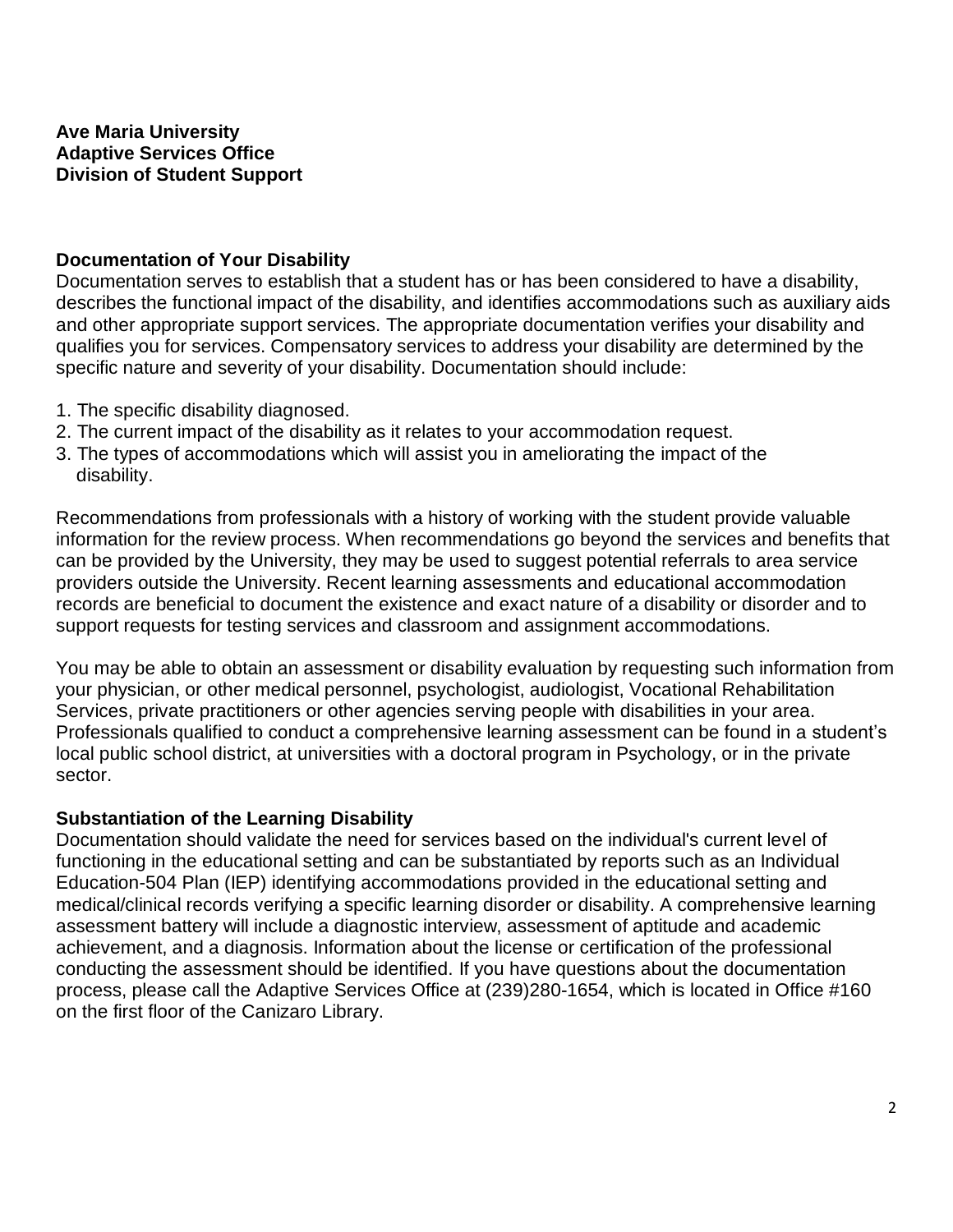### **Ave Maria University Adaptive Services Office Division of Student Support**

### **Documentation of Your Disability**

Documentation serves to establish that a student has or has been considered to have a disability, describes the functional impact of the disability, and identifies accommodations such as auxiliary aids and other appropriate support services. The appropriate documentation verifies your disability and qualifies you for services. Compensatory services to address your disability are determined by the specific nature and severity of your disability. Documentation should include:

- 1. The specific disability diagnosed.
- 2. The current impact of the disability as it relates to your accommodation request.
- 3. The types of accommodations which will assist you in ameliorating the impact of the disability.

Recommendations from professionals with a history of working with the student provide valuable information for the review process. When recommendations go beyond the services and benefits that can be provided by the University, they may be used to suggest potential referrals to area service providers outside the University. Recent learning assessments and educational accommodation records are beneficial to document the existence and exact nature of a disability or disorder and to support requests for testing services and classroom and assignment accommodations.

You may be able to obtain an assessment or disability evaluation by requesting such information from your physician, or other medical personnel, psychologist, audiologist, Vocational Rehabilitation Services, private practitioners or other agencies serving people with disabilities in your area. Professionals qualified to conduct a comprehensive learning assessment can be found in a student's local public school district, at universities with a doctoral program in Psychology, or in the private sector.

### **Substantiation of the Learning Disability**

Documentation should validate the need for services based on the individual's current level of functioning in the educational setting and can be substantiated by reports such as an Individual Education-504 Plan (IEP) identifying accommodations provided in the educational setting and medical/clinical records verifying a specific learning disorder or disability. A comprehensive learning assessment battery will include a diagnostic interview, assessment of aptitude and academic achievement, and a diagnosis. Information about the license or certification of the professional conducting the assessment should be identified. If you have questions about the documentation process, please call the Adaptive Services Office at (239)280-1654, which is located in Office #160 on the first floor of the Canizaro Library.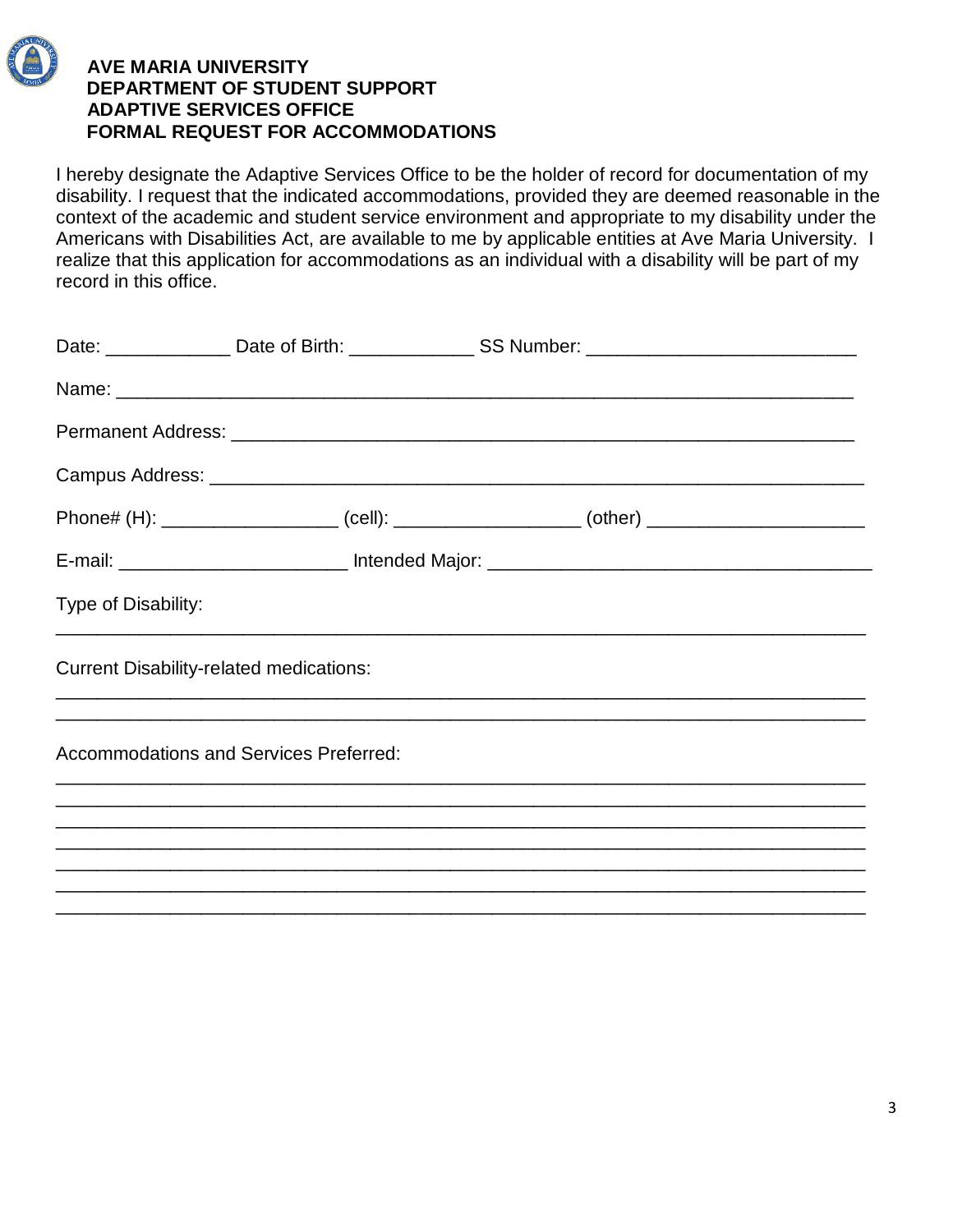

 **FORMAL REQUEST FOR ACCOMMODATIONS** 

I hereby designate the Adaptive Services Office to be the holder of record for documentation of my disability. I request that the indicated accommodations, provided they are deemed reasonable in the context of the academic and student service environment and appropriate to my disability under the Americans with Disabilities Act, are available to me by applicable entities at Ave Maria University. I realize that this application for accommodations as an individual with a disability will be part of my record in this office.

|                                                |  | Date: _________________Date of Birth: __________________SS Number: _________________________________ |
|------------------------------------------------|--|------------------------------------------------------------------------------------------------------|
|                                                |  |                                                                                                      |
|                                                |  |                                                                                                      |
|                                                |  |                                                                                                      |
|                                                |  | Phone# (H): ______________________ (cell): ____________________ (other) ___________________________  |
|                                                |  |                                                                                                      |
| Type of Disability:                            |  |                                                                                                      |
| <b>Current Disability-related medications:</b> |  |                                                                                                      |
| <b>Accommodations and Services Preferred:</b>  |  |                                                                                                      |
|                                                |  |                                                                                                      |
|                                                |  |                                                                                                      |
|                                                |  | ,一个人的人都是一个人的人,我们就是一个人的人,我们就是一个人的人,我们就是一个人的人,我们就是一个人的人,我们就是一个人的人,我们就是一个人的人,我们就是一个人                    |

\_\_\_\_\_\_\_\_\_\_\_\_\_\_\_\_\_\_\_\_\_\_\_\_\_\_\_\_\_\_\_\_\_\_\_\_\_\_\_\_\_\_\_\_\_\_\_\_\_\_\_\_\_\_\_\_\_\_\_\_\_\_\_\_\_\_\_\_\_\_\_\_\_\_\_\_\_\_